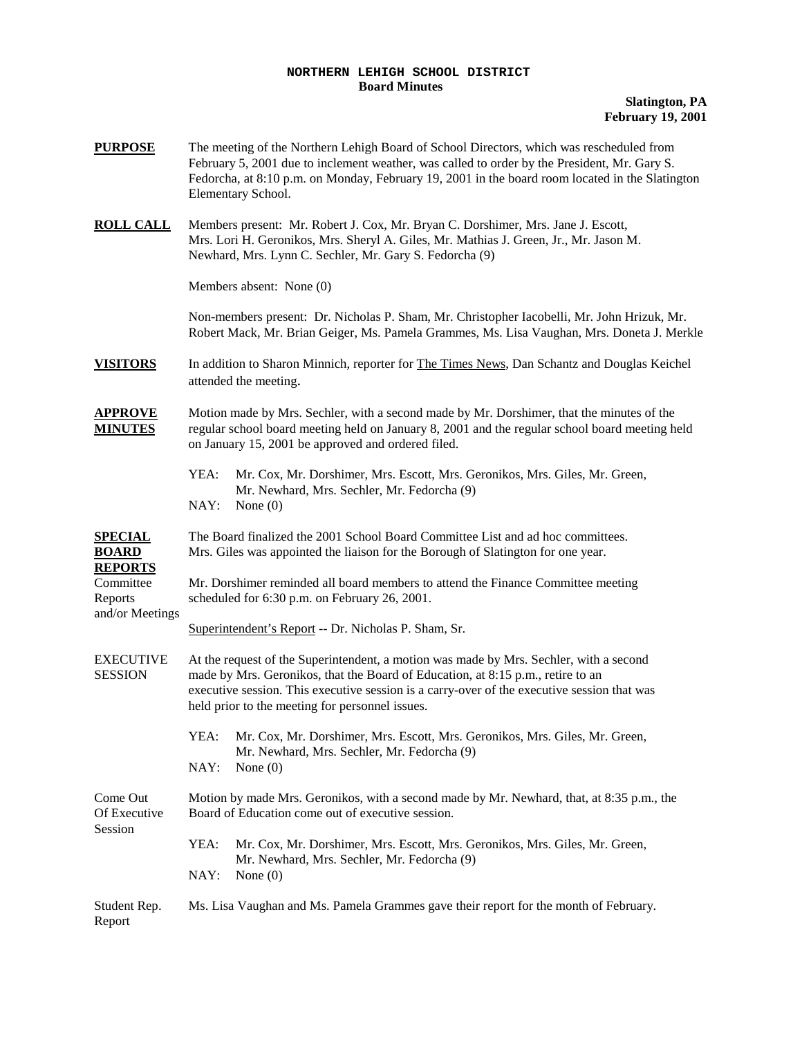## **NORTHERN LEHIGH SCHOOL DISTRICT Board Minutes**

**Slatington, PA February 19, 2001**

| <b>PURPOSE</b>                                                                              | The meeting of the Northern Lehigh Board of School Directors, which was rescheduled from<br>February 5, 2001 due to inclement weather, was called to order by the President, Mr. Gary S.<br>Fedorcha, at 8:10 p.m. on Monday, February 19, 2001 in the board room located in the Slatington<br>Elementary School.           |  |  |
|---------------------------------------------------------------------------------------------|-----------------------------------------------------------------------------------------------------------------------------------------------------------------------------------------------------------------------------------------------------------------------------------------------------------------------------|--|--|
| <b>ROLL CALL</b>                                                                            | Members present: Mr. Robert J. Cox, Mr. Bryan C. Dorshimer, Mrs. Jane J. Escott,<br>Mrs. Lori H. Geronikos, Mrs. Sheryl A. Giles, Mr. Mathias J. Green, Jr., Mr. Jason M.<br>Newhard, Mrs. Lynn C. Sechler, Mr. Gary S. Fedorcha (9)                                                                                        |  |  |
|                                                                                             | Members absent: None (0)                                                                                                                                                                                                                                                                                                    |  |  |
|                                                                                             | Non-members present: Dr. Nicholas P. Sham, Mr. Christopher Iacobelli, Mr. John Hrizuk, Mr.<br>Robert Mack, Mr. Brian Geiger, Ms. Pamela Grammes, Ms. Lisa Vaughan, Mrs. Doneta J. Merkle                                                                                                                                    |  |  |
| <b>VISITORS</b>                                                                             | In addition to Sharon Minnich, reporter for The Times News, Dan Schantz and Douglas Keichel<br>attended the meeting.                                                                                                                                                                                                        |  |  |
| <b>APPROVE</b><br><b>MINUTES</b>                                                            | Motion made by Mrs. Sechler, with a second made by Mr. Dorshimer, that the minutes of the<br>regular school board meeting held on January 8, 2001 and the regular school board meeting held<br>on January 15, 2001 be approved and ordered filed.                                                                           |  |  |
|                                                                                             | YEA:<br>Mr. Cox, Mr. Dorshimer, Mrs. Escott, Mrs. Geronikos, Mrs. Giles, Mr. Green,<br>Mr. Newhard, Mrs. Sechler, Mr. Fedorcha (9)<br>NAY:<br>None $(0)$                                                                                                                                                                    |  |  |
| <b>SPECIAL</b><br><b>BOARD</b><br><b>REPORTS</b><br>Committee<br>Reports<br>and/or Meetings | The Board finalized the 2001 School Board Committee List and ad hoc committees.<br>Mrs. Giles was appointed the liaison for the Borough of Slatington for one year.                                                                                                                                                         |  |  |
|                                                                                             | Mr. Dorshimer reminded all board members to attend the Finance Committee meeting<br>scheduled for 6:30 p.m. on February 26, 2001.                                                                                                                                                                                           |  |  |
|                                                                                             | Superintendent's Report -- Dr. Nicholas P. Sham, Sr.                                                                                                                                                                                                                                                                        |  |  |
| <b>EXECUTIVE</b><br><b>SESSION</b>                                                          | At the request of the Superintendent, a motion was made by Mrs. Sechler, with a second<br>made by Mrs. Geronikos, that the Board of Education, at 8:15 p.m., retire to an<br>executive session. This executive session is a carry-over of the executive session that was<br>held prior to the meeting for personnel issues. |  |  |
|                                                                                             | Mr. Cox, Mr. Dorshimer, Mrs. Escott, Mrs. Geronikos, Mrs. Giles, Mr. Green,<br>YEA:<br>Mr. Newhard, Mrs. Sechler, Mr. Fedorcha (9)<br>NAY:<br>None $(0)$                                                                                                                                                                    |  |  |
| Come Out<br>Of Executive                                                                    | Motion by made Mrs. Geronikos, with a second made by Mr. Newhard, that, at 8:35 p.m., the<br>Board of Education come out of executive session.                                                                                                                                                                              |  |  |
| Session                                                                                     | YEA:<br>Mr. Cox, Mr. Dorshimer, Mrs. Escott, Mrs. Geronikos, Mrs. Giles, Mr. Green,<br>Mr. Newhard, Mrs. Sechler, Mr. Fedorcha (9)<br>NAY:<br>None $(0)$                                                                                                                                                                    |  |  |
| Student Rep.<br>Report                                                                      | Ms. Lisa Vaughan and Ms. Pamela Grammes gave their report for the month of February.                                                                                                                                                                                                                                        |  |  |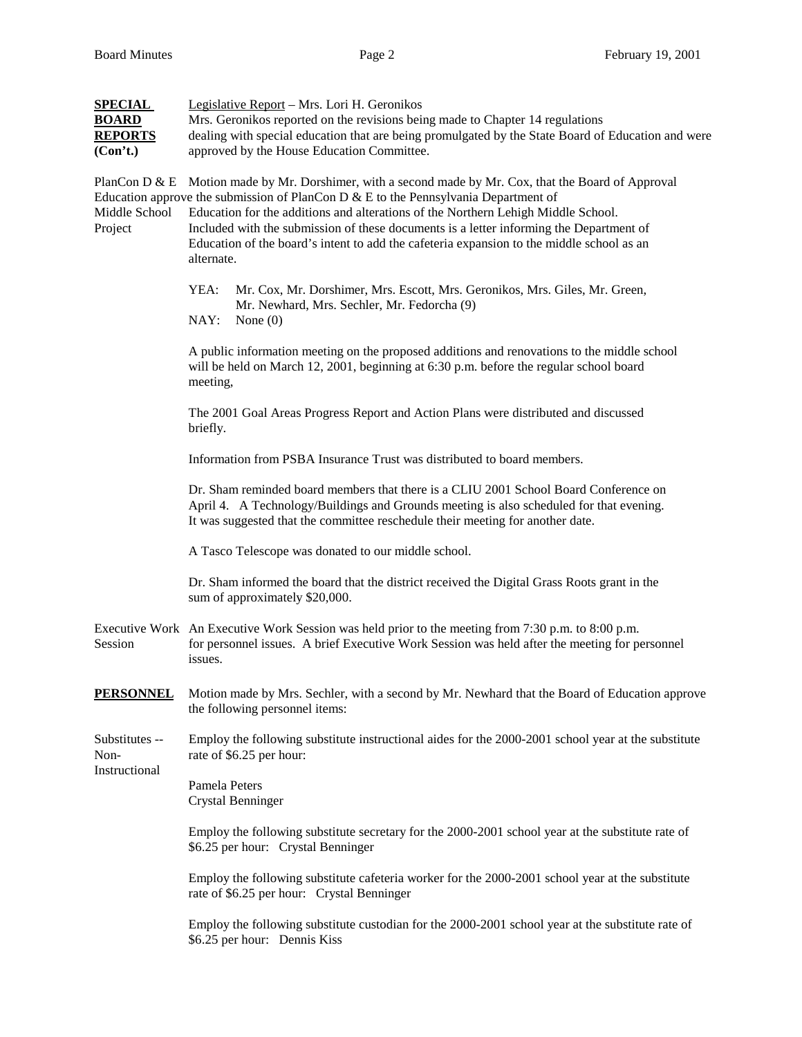| <b>SPECIAL</b><br><b>BOARD</b><br><b>REPORTS</b><br>(Con't.) | Legislative Report - Mrs. Lori H. Geronikos<br>Mrs. Geronikos reported on the revisions being made to Chapter 14 regulations<br>dealing with special education that are being promulgated by the State Board of Education and were<br>approved by the House Education Committee.                                                                                                                                                                                             |  |  |  |
|--------------------------------------------------------------|------------------------------------------------------------------------------------------------------------------------------------------------------------------------------------------------------------------------------------------------------------------------------------------------------------------------------------------------------------------------------------------------------------------------------------------------------------------------------|--|--|--|
| PlanCon D & E<br>Middle School<br>Project                    | Motion made by Mr. Dorshimer, with a second made by Mr. Cox, that the Board of Approval<br>Education approve the submission of PlanCon D $\&$ E to the Pennsylvania Department of<br>Education for the additions and alterations of the Northern Lehigh Middle School.<br>Included with the submission of these documents is a letter informing the Department of<br>Education of the board's intent to add the cafeteria expansion to the middle school as an<br>alternate. |  |  |  |
|                                                              | YEA:<br>Mr. Cox, Mr. Dorshimer, Mrs. Escott, Mrs. Geronikos, Mrs. Giles, Mr. Green,<br>Mr. Newhard, Mrs. Sechler, Mr. Fedorcha (9)<br>NAY:<br>None $(0)$                                                                                                                                                                                                                                                                                                                     |  |  |  |
|                                                              | A public information meeting on the proposed additions and renovations to the middle school<br>will be held on March 12, 2001, beginning at 6:30 p.m. before the regular school board<br>meeting,                                                                                                                                                                                                                                                                            |  |  |  |
|                                                              | The 2001 Goal Areas Progress Report and Action Plans were distributed and discussed<br>briefly.                                                                                                                                                                                                                                                                                                                                                                              |  |  |  |
|                                                              | Information from PSBA Insurance Trust was distributed to board members.                                                                                                                                                                                                                                                                                                                                                                                                      |  |  |  |
|                                                              | Dr. Sham reminded board members that there is a CLIU 2001 School Board Conference on<br>April 4. A Technology/Buildings and Grounds meeting is also scheduled for that evening.<br>It was suggested that the committee reschedule their meeting for another date.                                                                                                                                                                                                            |  |  |  |
|                                                              | A Tasco Telescope was donated to our middle school.                                                                                                                                                                                                                                                                                                                                                                                                                          |  |  |  |
|                                                              | Dr. Sham informed the board that the district received the Digital Grass Roots grant in the<br>sum of approximately \$20,000.                                                                                                                                                                                                                                                                                                                                                |  |  |  |
| Session                                                      | Executive Work An Executive Work Session was held prior to the meeting from 7:30 p.m. to 8:00 p.m.<br>for personnel issues. A brief Executive Work Session was held after the meeting for personnel<br>issues.                                                                                                                                                                                                                                                               |  |  |  |
| <u>PERSONNEL</u>                                             | Motion made by Mrs. Sechler, with a second by Mr. Newhard that the Board of Education approve<br>the following personnel items:                                                                                                                                                                                                                                                                                                                                              |  |  |  |
| Substitutes --<br>Non-<br>Instructional                      | Employ the following substitute instructional aides for the 2000-2001 school year at the substitute<br>rate of \$6.25 per hour:                                                                                                                                                                                                                                                                                                                                              |  |  |  |
|                                                              | Pamela Peters<br><b>Crystal Benninger</b>                                                                                                                                                                                                                                                                                                                                                                                                                                    |  |  |  |
|                                                              | Employ the following substitute secretary for the 2000-2001 school year at the substitute rate of<br>\$6.25 per hour: Crystal Benninger                                                                                                                                                                                                                                                                                                                                      |  |  |  |
|                                                              | Employ the following substitute cafeteria worker for the 2000-2001 school year at the substitute<br>rate of \$6.25 per hour: Crystal Benninger                                                                                                                                                                                                                                                                                                                               |  |  |  |
|                                                              | Employ the following substitute custodian for the 2000-2001 school year at the substitute rate of<br>\$6.25 per hour: Dennis Kiss                                                                                                                                                                                                                                                                                                                                            |  |  |  |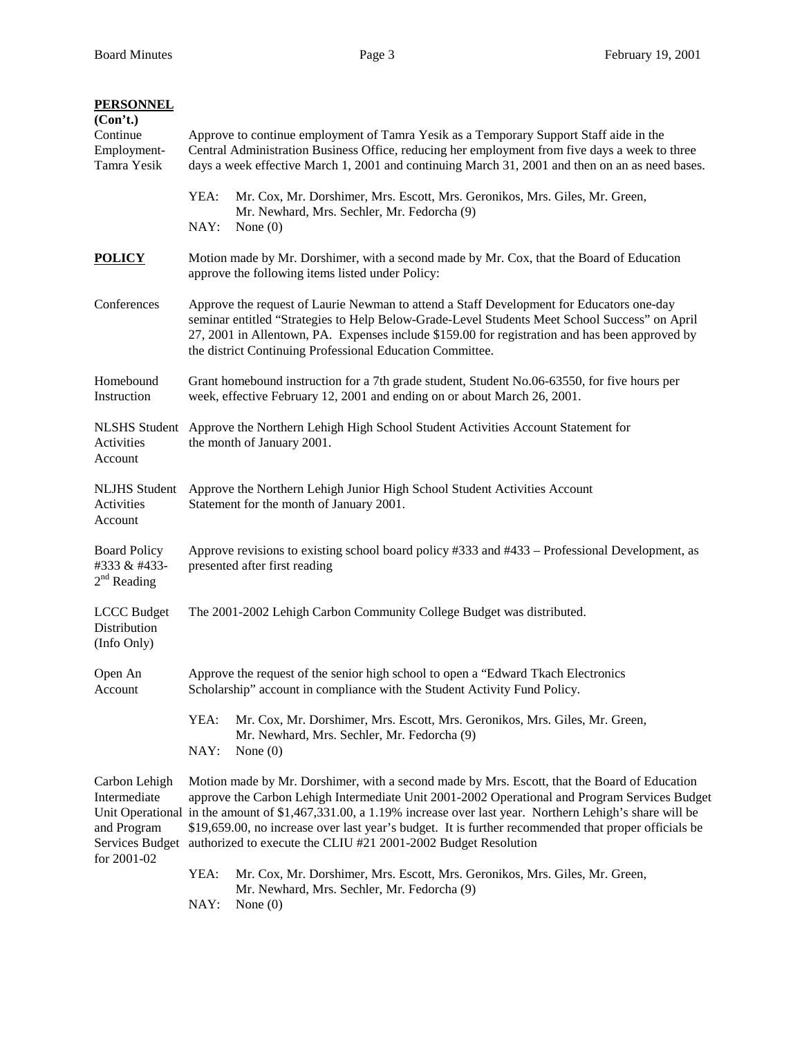| <b>PERSONNEL</b><br>(Con't.)<br>Continue<br>Employment-<br>Tamra Yesik | Approve to continue employment of Tamra Yesik as a Temporary Support Staff aide in the<br>Central Administration Business Office, reducing her employment from five days a week to three<br>days a week effective March 1, 2001 and continuing March 31, 2001 and then on an as need bases.                                                                                                                                                                                                                   |                                                                                                                                              |  |  |  |
|------------------------------------------------------------------------|---------------------------------------------------------------------------------------------------------------------------------------------------------------------------------------------------------------------------------------------------------------------------------------------------------------------------------------------------------------------------------------------------------------------------------------------------------------------------------------------------------------|----------------------------------------------------------------------------------------------------------------------------------------------|--|--|--|
|                                                                        | YEA:<br>NAY:                                                                                                                                                                                                                                                                                                                                                                                                                                                                                                  | Mr. Cox, Mr. Dorshimer, Mrs. Escott, Mrs. Geronikos, Mrs. Giles, Mr. Green,<br>Mr. Newhard, Mrs. Sechler, Mr. Fedorcha (9)<br>None $(0)$     |  |  |  |
| <b>POLICY</b>                                                          |                                                                                                                                                                                                                                                                                                                                                                                                                                                                                                               | Motion made by Mr. Dorshimer, with a second made by Mr. Cox, that the Board of Education<br>approve the following items listed under Policy: |  |  |  |
| Conferences                                                            | Approve the request of Laurie Newman to attend a Staff Development for Educators one-day<br>seminar entitled "Strategies to Help Below-Grade-Level Students Meet School Success" on April<br>27, 2001 in Allentown, PA. Expenses include \$159.00 for registration and has been approved by<br>the district Continuing Professional Education Committee.                                                                                                                                                      |                                                                                                                                              |  |  |  |
| Homebound<br>Instruction                                               | Grant homebound instruction for a 7th grade student, Student No.06-63550, for five hours per<br>week, effective February 12, 2001 and ending on or about March 26, 2001.                                                                                                                                                                                                                                                                                                                                      |                                                                                                                                              |  |  |  |
| Activities<br>Account                                                  | NLSHS Student Approve the Northern Lehigh High School Student Activities Account Statement for<br>the month of January 2001.                                                                                                                                                                                                                                                                                                                                                                                  |                                                                                                                                              |  |  |  |
| <b>NLJHS</b> Student<br>Activities<br>Account                          | Approve the Northern Lehigh Junior High School Student Activities Account<br>Statement for the month of January 2001.                                                                                                                                                                                                                                                                                                                                                                                         |                                                                                                                                              |  |  |  |
| <b>Board Policy</b><br>#333 & #433-<br>$2nd$ Reading                   | Approve revisions to existing school board policy #333 and #433 – Professional Development, as<br>presented after first reading                                                                                                                                                                                                                                                                                                                                                                               |                                                                                                                                              |  |  |  |
| <b>LCCC</b> Budget<br>Distribution<br>(Info Only)                      | The 2001-2002 Lehigh Carbon Community College Budget was distributed.                                                                                                                                                                                                                                                                                                                                                                                                                                         |                                                                                                                                              |  |  |  |
| Open An<br>Account                                                     | Approve the request of the senior high school to open a "Edward Tkach Electronics"<br>Scholarship" account in compliance with the Student Activity Fund Policy.                                                                                                                                                                                                                                                                                                                                               |                                                                                                                                              |  |  |  |
|                                                                        | YEA:<br>NAY:                                                                                                                                                                                                                                                                                                                                                                                                                                                                                                  | Mr. Cox, Mr. Dorshimer, Mrs. Escott, Mrs. Geronikos, Mrs. Giles, Mr. Green,<br>Mr. Newhard, Mrs. Sechler, Mr. Fedorcha (9)<br>None $(0)$     |  |  |  |
| Carbon Lehigh<br>Intermediate<br>and Program<br>for 2001-02            | Motion made by Mr. Dorshimer, with a second made by Mrs. Escott, that the Board of Education<br>approve the Carbon Lehigh Intermediate Unit 2001-2002 Operational and Program Services Budget<br>Unit Operational in the amount of \$1,467,331.00, a 1.19% increase over last year. Northern Lehigh's share will be<br>\$19,659.00, no increase over last year's budget. It is further recommended that proper officials be<br>Services Budget authorized to execute the CLIU #21 2001-2002 Budget Resolution |                                                                                                                                              |  |  |  |
|                                                                        | YEA:<br>NAY:                                                                                                                                                                                                                                                                                                                                                                                                                                                                                                  | Mr. Cox, Mr. Dorshimer, Mrs. Escott, Mrs. Geronikos, Mrs. Giles, Mr. Green,<br>Mr. Newhard, Mrs. Sechler, Mr. Fedorcha (9)<br>None $(0)$     |  |  |  |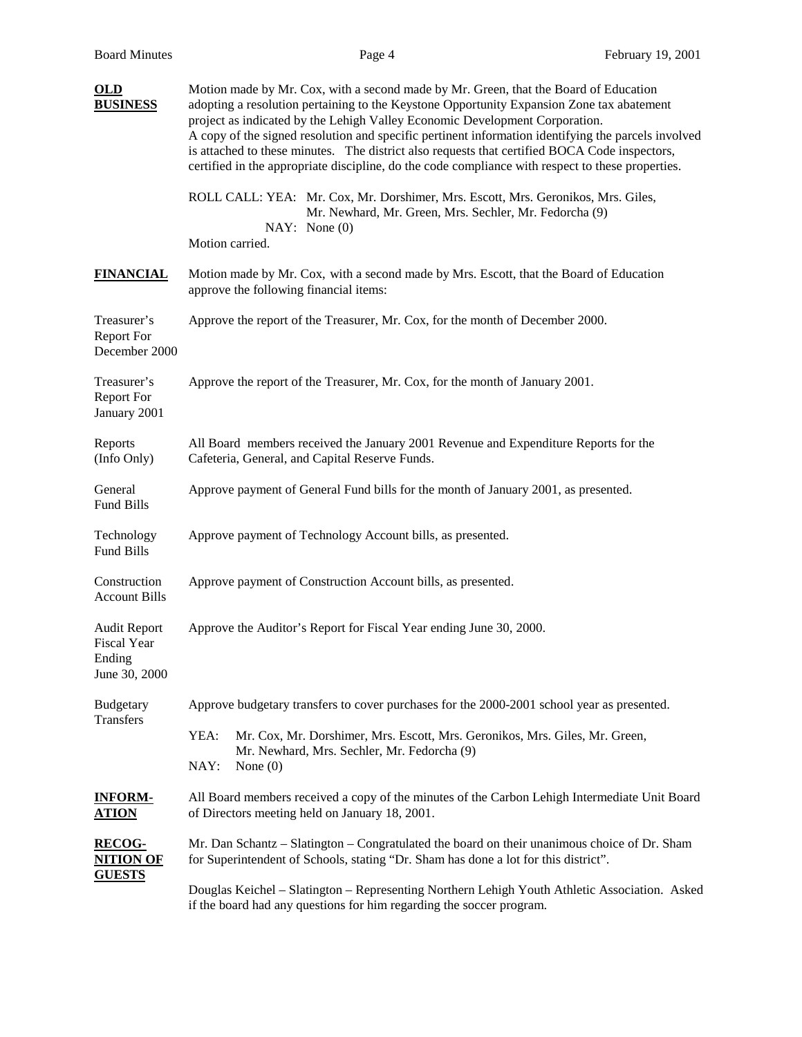| <b>OLD</b><br><b>BUSINESS</b>                                        | Motion made by Mr. Cox, with a second made by Mr. Green, that the Board of Education<br>adopting a resolution pertaining to the Keystone Opportunity Expansion Zone tax abatement<br>project as indicated by the Lehigh Valley Economic Development Corporation.<br>A copy of the signed resolution and specific pertinent information identifying the parcels involved<br>is attached to these minutes. The district also requests that certified BOCA Code inspectors,<br>certified in the appropriate discipline, do the code compliance with respect to these properties. |  |  |  |
|----------------------------------------------------------------------|-------------------------------------------------------------------------------------------------------------------------------------------------------------------------------------------------------------------------------------------------------------------------------------------------------------------------------------------------------------------------------------------------------------------------------------------------------------------------------------------------------------------------------------------------------------------------------|--|--|--|
|                                                                      | ROLL CALL: YEA: Mr. Cox, Mr. Dorshimer, Mrs. Escott, Mrs. Geronikos, Mrs. Giles,<br>Mr. Newhard, Mr. Green, Mrs. Sechler, Mr. Fedorcha (9)<br>NAY: None(0)<br>Motion carried.                                                                                                                                                                                                                                                                                                                                                                                                 |  |  |  |
| <b>FINANCIAL</b>                                                     | Motion made by Mr. Cox, with a second made by Mrs. Escott, that the Board of Education<br>approve the following financial items:                                                                                                                                                                                                                                                                                                                                                                                                                                              |  |  |  |
| Treasurer's<br>Report For<br>December 2000                           | Approve the report of the Treasurer, Mr. Cox, for the month of December 2000.                                                                                                                                                                                                                                                                                                                                                                                                                                                                                                 |  |  |  |
| Treasurer's<br><b>Report For</b><br>January 2001                     | Approve the report of the Treasurer, Mr. Cox, for the month of January 2001.                                                                                                                                                                                                                                                                                                                                                                                                                                                                                                  |  |  |  |
| Reports<br>(Info Only)                                               | All Board members received the January 2001 Revenue and Expenditure Reports for the<br>Cafeteria, General, and Capital Reserve Funds.                                                                                                                                                                                                                                                                                                                                                                                                                                         |  |  |  |
| General<br>Fund Bills                                                | Approve payment of General Fund bills for the month of January 2001, as presented.                                                                                                                                                                                                                                                                                                                                                                                                                                                                                            |  |  |  |
| Technology<br>Fund Bills                                             | Approve payment of Technology Account bills, as presented.                                                                                                                                                                                                                                                                                                                                                                                                                                                                                                                    |  |  |  |
| Construction<br><b>Account Bills</b>                                 | Approve payment of Construction Account bills, as presented.                                                                                                                                                                                                                                                                                                                                                                                                                                                                                                                  |  |  |  |
| <b>Audit Report</b><br><b>Fiscal Year</b><br>Ending<br>June 30, 2000 | Approve the Auditor's Report for Fiscal Year ending June 30, 2000.                                                                                                                                                                                                                                                                                                                                                                                                                                                                                                            |  |  |  |
| <b>Budgetary</b><br><b>Transfers</b>                                 | Approve budgetary transfers to cover purchases for the 2000-2001 school year as presented.                                                                                                                                                                                                                                                                                                                                                                                                                                                                                    |  |  |  |
|                                                                      | YEA:<br>Mr. Cox, Mr. Dorshimer, Mrs. Escott, Mrs. Geronikos, Mrs. Giles, Mr. Green,<br>Mr. Newhard, Mrs. Sechler, Mr. Fedorcha (9)<br>NAY:<br>None $(0)$                                                                                                                                                                                                                                                                                                                                                                                                                      |  |  |  |
| <u><b>INFORM-</b></u><br><u>ATION</u>                                | All Board members received a copy of the minutes of the Carbon Lehigh Intermediate Unit Board<br>of Directors meeting held on January 18, 2001.                                                                                                                                                                                                                                                                                                                                                                                                                               |  |  |  |
| <b>RECOG-</b><br><u>NITION OF</u><br><u>GUESTS</u>                   | Mr. Dan Schantz – Slatington – Congratulated the board on their unanimous choice of Dr. Sham<br>for Superintendent of Schools, stating "Dr. Sham has done a lot for this district".                                                                                                                                                                                                                                                                                                                                                                                           |  |  |  |
|                                                                      | Douglas Keichel - Slatington - Representing Northern Lehigh Youth Athletic Association. Asked<br>if the board had any questions for him regarding the soccer program.                                                                                                                                                                                                                                                                                                                                                                                                         |  |  |  |